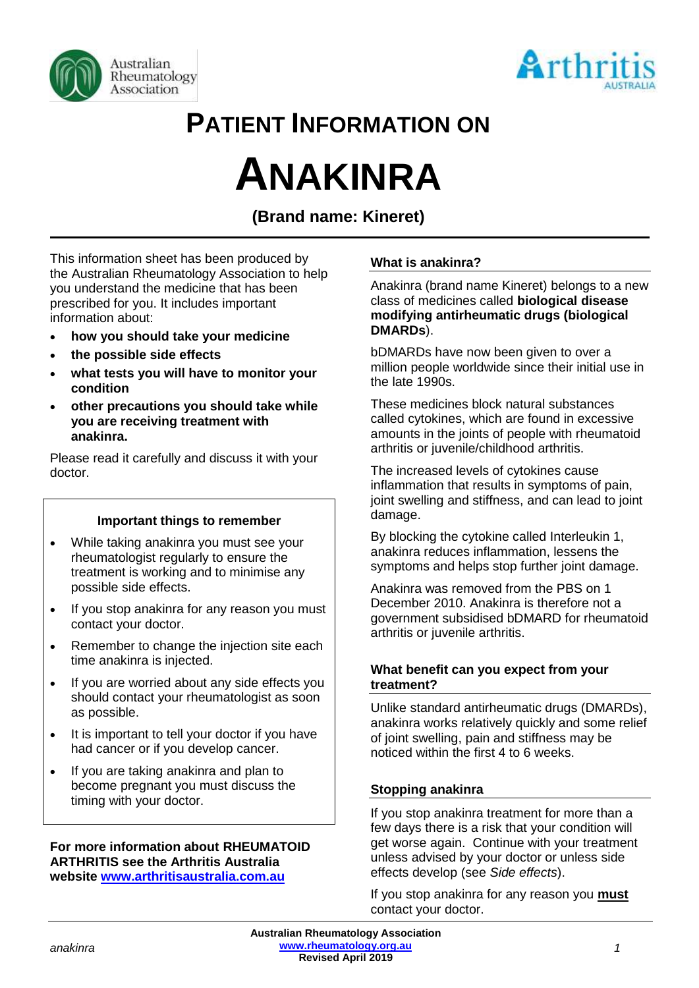



## **PATIENT INFORMATION ON**

# **ANAKINRA**

### **(Brand name: Kineret)**

This information sheet has been produced by the Australian Rheumatology Association to help you understand the medicine that has been prescribed for you. It includes important information about:

- **how you should take your medicine**
- **the possible side effects**
- **what tests you will have to monitor your condition**
- **other precautions you should take while you are receiving treatment with anakinra.**

Please read it carefully and discuss it with your doctor.

#### **Important things to remember**

- While taking anakinra you must see your rheumatologist regularly to ensure the treatment is working and to minimise any possible side effects.
- If you stop anakinra for any reason you must contact your doctor.
- Remember to change the injection site each time anakinra is injected.
- If you are worried about any side effects you should contact your rheumatologist as soon as possible.
- It is important to tell your doctor if you have had cancer or if you develop cancer.
- If you are taking anakinra and plan to become pregnant you must discuss the timing with your doctor.

#### **For more information about RHEUMATOID ARTHRITIS see the Arthritis Australia website [www.arthritisaustralia.com.au](http://www.arthritisaustralia.com.au/)**

#### **What is anakinra?**

Anakinra (brand name Kineret) belongs to a new class of medicines called **biological disease modifying antirheumatic drugs (biological DMARDs**).

bDMARDs have now been given to over a million people worldwide since their initial use in the late 1990s.

These medicines block natural substances called cytokines, which are found in excessive amounts in the joints of people with rheumatoid arthritis or juvenile/childhood arthritis.

The increased levels of cytokines cause inflammation that results in symptoms of pain, joint swelling and stiffness, and can lead to joint damage.

By blocking the cytokine called Interleukin 1, anakinra reduces inflammation, lessens the symptoms and helps stop further joint damage.

Anakinra was removed from the PBS on 1 December 2010. Anakinra is therefore not a government subsidised bDMARD for rheumatoid arthritis or juvenile arthritis.

#### **What benefit can you expect from your treatment?**

Unlike standard antirheumatic drugs (DMARDs), anakinra works relatively quickly and some relief of joint swelling, pain and stiffness may be noticed within the first 4 to 6 weeks.

#### **Stopping anakinra**

If you stop anakinra treatment for more than a few days there is a risk that your condition will get worse again. Continue with your treatment unless advised by your doctor or unless side effects develop (see *Side effects*).

If you stop anakinra for any reason you **must** contact your doctor.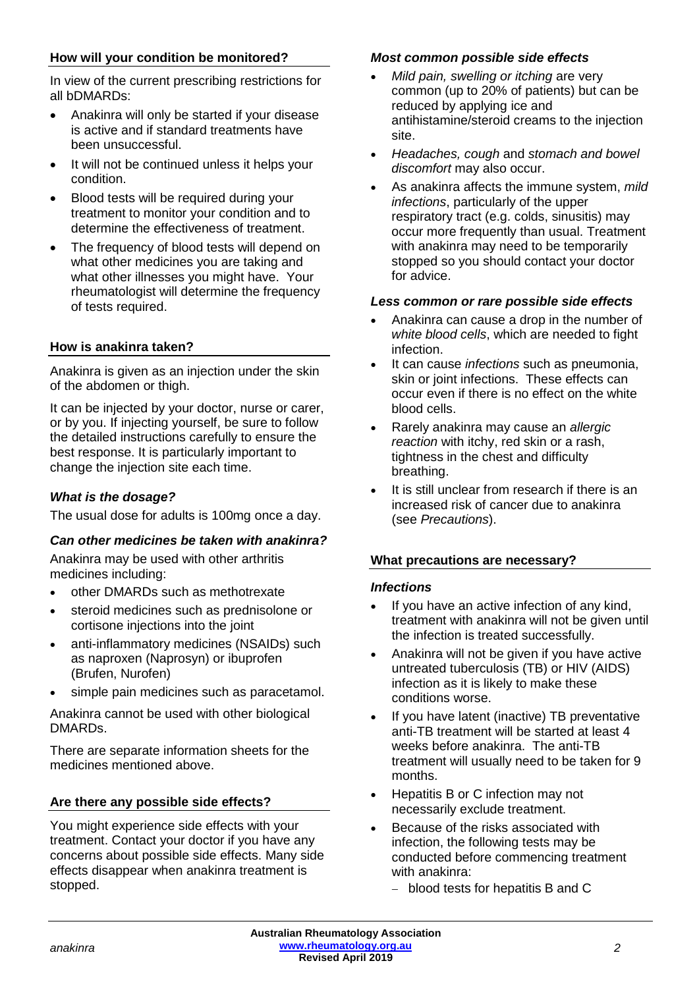#### **How will your condition be monitored?**

In view of the current prescribing restrictions for all bDMARDs:

- Anakinra will only be started if your disease is active and if standard treatments have been unsuccessful.
- It will not be continued unless it helps your condition.
- Blood tests will be required during your treatment to monitor your condition and to determine the effectiveness of treatment.
- The frequency of blood tests will depend on what other medicines you are taking and what other illnesses you might have. Your rheumatologist will determine the frequency of tests required.

#### **How is anakinra taken?**

Anakinra is given as an injection under the skin of the abdomen or thigh.

It can be injected by your doctor, nurse or carer, or by you. If injecting yourself, be sure to follow the detailed instructions carefully to ensure the best response. It is particularly important to change the injection site each time.

#### *What is the dosage?*

The usual dose for adults is 100mg once a day.

#### *Can other medicines be taken with anakinra?*

Anakinra may be used with other arthritis medicines including:

- other DMARDs such as methotrexate
- steroid medicines such as prednisolone or cortisone injections into the joint
- anti-inflammatory medicines (NSAIDs) such as naproxen (Naprosyn) or ibuprofen (Brufen, Nurofen)
- simple pain medicines such as paracetamol.

Anakinra cannot be used with other biological DMARDs.

There are separate information sheets for the medicines mentioned above.

#### **Are there any possible side effects?**

You might experience side effects with your treatment. Contact your doctor if you have any concerns about possible side effects. Many side effects disappear when anakinra treatment is stopped.

#### *Most common possible side effects*

- *Mild pain, swelling or itching* are very common (up to 20% of patients) but can be reduced by applying ice and antihistamine/steroid creams to the injection site.
- *Headaches, cough* and *stomach and bowel discomfort* may also occur.
- As anakinra affects the immune system, *mild infections*, particularly of the upper respiratory tract (e.g. colds, sinusitis) may occur more frequently than usual. Treatment with anakinra may need to be temporarily stopped so you should contact your doctor for advice.

#### *Less common or rare possible side effects*

- Anakinra can cause a drop in the number of *white blood cells*, which are needed to fight infection.
- It can cause *infections* such as pneumonia, skin or joint infections. These effects can occur even if there is no effect on the white blood cells.
- Rarely anakinra may cause an *allergic reaction* with itchy, red skin or a rash, tightness in the chest and difficulty breathing.
- It is still unclear from research if there is an increased risk of cancer due to anakinra (see *Precautions*).

#### **What precautions are necessary?**

#### *Infections*

- If you have an active infection of any kind. treatment with anakinra will not be given until the infection is treated successfully.
- Anakinra will not be given if you have active untreated tuberculosis (TB) or HIV (AIDS) infection as it is likely to make these conditions worse.
- If you have latent (inactive) TB preventative anti-TB treatment will be started at least 4 weeks before anakinra. The anti-TB treatment will usually need to be taken for 9 months.
- Hepatitis B or C infection may not necessarily exclude treatment.
- Because of the risks associated with infection, the following tests may be conducted before commencing treatment with anakinra:
	- − blood tests for hepatitis B and C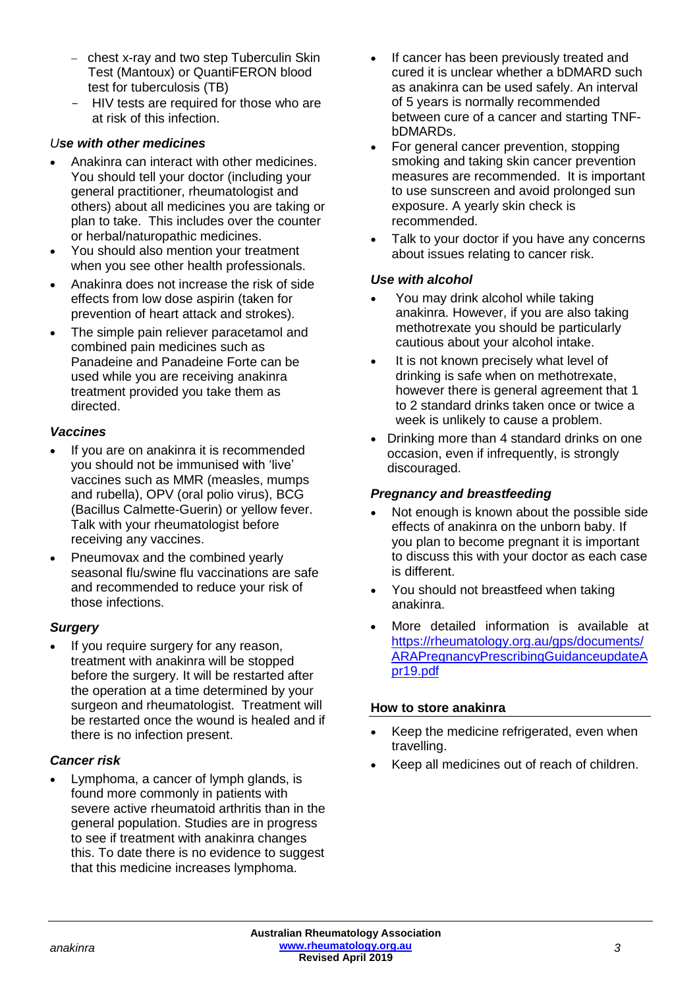- − chest x-ray and two step Tuberculin Skin Test (Mantoux) or QuantiFERON blood test for tuberculosis (TB)
- HIV tests are required for those who are at risk of this infection.

#### *Use with other medicines*

- Anakinra can interact with other medicines. You should tell your doctor (including your general practitioner, rheumatologist and others) about all medicines you are taking or plan to take. This includes over the counter or herbal/naturopathic medicines.
- You should also mention your treatment when you see other health professionals.
- Anakinra does not increase the risk of side effects from low dose aspirin (taken for prevention of heart attack and strokes).
- The simple pain reliever paracetamol and combined pain medicines such as Panadeine and Panadeine Forte can be used while you are receiving anakinra treatment provided you take them as directed.

#### *Vaccines*

- If you are on anakinra it is recommended you should not be immunised with 'live' vaccines such as MMR (measles, mumps and rubella), OPV (oral polio virus), BCG (Bacillus Calmette-Guerin) or yellow fever. Talk with your rheumatologist before receiving any vaccines.
- Pneumovax and the combined yearly seasonal flu/swine flu vaccinations are safe and recommended to reduce your risk of those infections.

#### *Surgery*

If you require surgery for any reason, treatment with anakinra will be stopped before the surgery. It will be restarted after the operation at a time determined by your surgeon and rheumatologist. Treatment will be restarted once the wound is healed and if there is no infection present.

#### *Cancer risk*

• Lymphoma, a cancer of lymph glands, is found more commonly in patients with severe active rheumatoid arthritis than in the general population. Studies are in progress to see if treatment with anakinra changes this. To date there is no evidence to suggest that this medicine increases lymphoma.

- If cancer has been previously treated and cured it is unclear whether a bDMARD such as anakinra can be used safely. An interval of 5 years is normally recommended between cure of a cancer and starting TNFbDMARDs.
- For general cancer prevention, stopping smoking and taking skin cancer prevention measures are recommended. It is important to use sunscreen and avoid prolonged sun exposure. A yearly skin check is recommended.
- Talk to your doctor if you have any concerns about issues relating to cancer risk.

#### *Use with alcohol*

- You may drink alcohol while taking anakinra. However, if you are also taking methotrexate you should be particularly cautious about your alcohol intake.
- It is not known precisely what level of drinking is safe when on methotrexate, however there is general agreement that 1 to 2 standard drinks taken once or twice a week is unlikely to cause a problem.
- Drinking more than 4 standard drinks on one occasion, even if infrequently, is strongly discouraged.

#### *Pregnancy and breastfeeding*

- Not enough is known about the possible side effects of anakinra on the unborn baby. If you plan to become pregnant it is important to discuss this with your doctor as each case is different.
- You should not breastfeed when taking anakinra.
- More detailed information is available at [https://rheumatology.org.au/gps/documents/](https://rheumatology.org.au/gps/documents/ARAPregnancyPrescribingGuidanceupdateApr19.pdf) [ARAPregnancyPrescribingGuidanceupdateA](https://rheumatology.org.au/gps/documents/ARAPregnancyPrescribingGuidanceupdateApr19.pdf) [pr19.pdf](https://rheumatology.org.au/gps/documents/ARAPregnancyPrescribingGuidanceupdateApr19.pdf)

#### **How to store anakinra**

- Keep the medicine refrigerated, even when travelling.
- Keep all medicines out of reach of children.